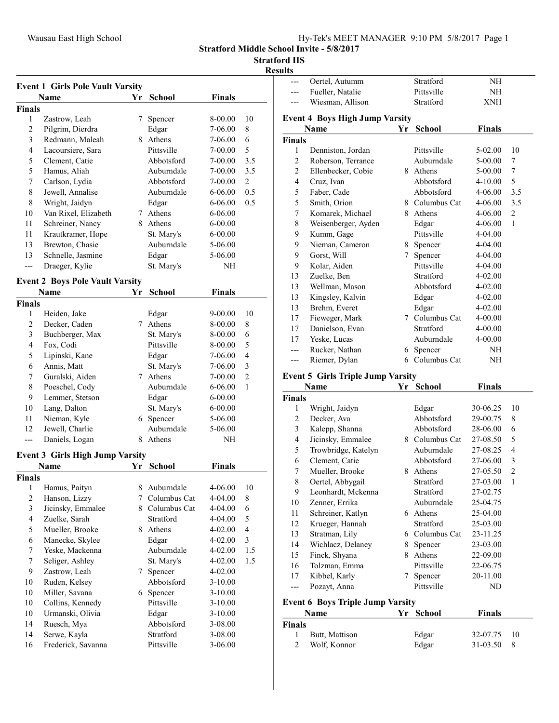Stratford Middle School Invite - 5/8/2017

## Stratford HS

#### Results

| <b>Event 1 Girls Pole Vault Varsity</b> |                                        |    |               |               |                |  |  |
|-----------------------------------------|----------------------------------------|----|---------------|---------------|----------------|--|--|
|                                         | <b>Name</b>                            | Yr | <b>School</b> | <b>Finals</b> |                |  |  |
| <b>Finals</b>                           |                                        |    |               |               |                |  |  |
| 1                                       | Zastrow, Leah                          | 7  | Spencer       | 8-00.00       | 10             |  |  |
| $\overline{2}$                          | Pilgrim, Dierdra                       |    | Edgar         | 7-06.00       | 8              |  |  |
| 3                                       | Redmann, Maleah                        |    | 8 Athens      | 7-06.00       | 6              |  |  |
| 4                                       | Lacoursiere, Sara                      |    | Pittsville    | $7 - 00.00$   | 5              |  |  |
| 5                                       | Clement, Catie                         |    | Abbotsford    | 7-00.00       | 3.5            |  |  |
| 5                                       | Hamus, Aliah                           |    | Auburndale    | 7-00.00       | 3.5            |  |  |
| 7                                       | Carlson, Lydia                         |    | Abbotsford    | 7-00.00       | $\overline{c}$ |  |  |
| 8                                       | Jewell, Annalise                       |    | Auburndale    | 6-06.00       | 0.5            |  |  |
| 8                                       | Wright, Jaidyn                         |    | Edgar         | 6-06.00       | 0.5            |  |  |
| 10                                      | Van Rixel, Elizabeth                   |    | 7 Athens      | 6-06.00       |                |  |  |
| 11                                      | Schreiner, Nancy                       |    | 8 Athens      | 6-00.00       |                |  |  |
| 11                                      | Krautkramer, Hope                      |    | St. Mary's    | 6-00.00       |                |  |  |
| 13                                      | Brewton, Chasie                        |    | Auburndale    | 5-06.00       |                |  |  |
| 13                                      | Schnelle, Jasmine                      |    | Edgar         | 5-06.00       |                |  |  |
| ---                                     | Draeger, Kylie                         |    | St. Mary's    | NΗ            |                |  |  |
|                                         |                                        |    |               |               |                |  |  |
|                                         | <b>Event 2 Boys Pole Vault Varsity</b> |    |               |               |                |  |  |
| <b>Finals</b>                           | <b>Name</b>                            | Yr | <b>School</b> | <b>Finals</b> |                |  |  |
| 1                                       | Heiden, Jake                           |    | Edgar         | 9-00.00       | 10             |  |  |
| $\overline{c}$                          | Decker, Caden                          |    | 7 Athens      | 8-00.00       | 8              |  |  |
| 3                                       | Buchberger, Max                        |    | St. Mary's    | 8-00.00       | 6              |  |  |
| 4                                       | Fox, Codi                              |    | Pittsville    | 8-00.00       | 5              |  |  |
| 5                                       | Lipinski, Kane                         |    | Edgar         | 7-06.00       | 4              |  |  |
| 6                                       | Annis, Matt                            |    | St. Mary's    | 7-06.00       | 3              |  |  |
| 7                                       | Guralski, Aiden                        |    | 7 Athens      | 7-00.00       | $\overline{2}$ |  |  |
| $\,$ $\,$                               | Poeschel, Cody                         |    | Auburndale    | 6-06.00       | 1              |  |  |
| 9                                       | Lemmer, Stetson                        |    | Edgar         | $6 - 00.00$   |                |  |  |
| 10                                      | Lang, Dalton                           |    | St. Mary's    | 6-00.00       |                |  |  |
| 11                                      | Nieman, Kyle                           |    | 6 Spencer     | 5-06.00       |                |  |  |
| 12                                      | Jewell, Charlie                        |    | Auburndale    | 5-06.00       |                |  |  |
| $---$                                   | Daniels, Logan                         | 8  | Athens        | NΗ            |                |  |  |
|                                         |                                        |    |               |               |                |  |  |
|                                         | <b>Event 3 Girls High Jump Varsity</b> |    |               |               |                |  |  |
|                                         | Name                                   | Yr | <b>School</b> | <b>Finals</b> |                |  |  |
| <b>Finals</b>                           |                                        |    |               |               |                |  |  |
|                                         | 1 Hamus, Paityn                        |    | 8 Auburndale  | 4-06.00       | 10             |  |  |
| $\overline{c}$                          | Hanson, Lizzy                          | 7  | Columbus Cat  | 4-04.00       | 8              |  |  |
| 3                                       | Jicinsky, Emmalee                      | 8  | Columbus Cat  | 4-04.00       | 6              |  |  |
| $\overline{\mathbf{4}}$                 | Zuelke, Sarah                          |    | Stratford     | 4-04.00       | 5              |  |  |
| 5                                       | Mueller, Brooke                        |    | 8 Athens      | 4-02.00       | $\overline{4}$ |  |  |
| 6                                       | Manecke, Skylee                        |    | Edgar         | 4-02.00       | 3              |  |  |
| 7                                       | Yeske, Mackenna                        |    | Auburndale    | $4 - 02.00$   | 1.5            |  |  |
| 7                                       | Seliger, Ashley                        |    | St. Mary's    | 4-02.00       | 1.5            |  |  |
| 9                                       | Zastrow, Leah                          | 7  | Spencer       | 4-02.00       |                |  |  |
| 10                                      | Ruden, Kelsey                          |    | Abbotsford    | $3-10.00$     |                |  |  |
| 10                                      | Miller, Savana                         |    | 6 Spencer     | $3-10.00$     |                |  |  |
| 10                                      | Collins, Kennedy                       |    | Pittsville    | $3-10.00$     |                |  |  |
| 10                                      | Urmanski, Olivia                       |    | Edgar         | $3-10.00$     |                |  |  |
| 14                                      | Ruesch, Mya                            |    | Abbotsford    | 3-08.00       |                |  |  |
| 14                                      | Serwe, Kayla                           |    | Stratford     | 3-08.00       |                |  |  |
| 16                                      | Frederick, Savanna                     |    | Pittsville    | 3-06.00       |                |  |  |

| ---                 | Oertel, Autumm                                   |    | Stratford                   | NH                   |                                |
|---------------------|--------------------------------------------------|----|-----------------------------|----------------------|--------------------------------|
|                     | Fueller, Natalie                                 |    | Pittsville                  | NH                   |                                |
|                     | Wiesman, Allison                                 |    | Stratford                   | <b>XNH</b>           |                                |
|                     |                                                  |    |                             |                      |                                |
|                     | <b>Event 4 Boys High Jump Varsity</b><br>Name    | Yr | <b>School</b>               | <b>Finals</b>        |                                |
| <b>Finals</b>       |                                                  |    |                             |                      |                                |
| 1                   | Denniston, Jordan                                |    | Pittsville                  | 5-02.00              | 10                             |
| 2                   | Roberson, Terrance                               |    | Auburndale                  | 5-00.00              | 7                              |
|                     | Ellenbecker, Cobie                               |    | 8 Athens                    |                      |                                |
| 2                   |                                                  |    | Abbotsford                  | 5-00.00              | 7                              |
| 4                   | Cruz, Ivan                                       |    | Abbotsford                  | $4 - 10.00$          | 5                              |
| 5                   | Faber, Cade                                      |    |                             | 4-06.00              | 3.5                            |
| 5                   | Smith, Orion                                     |    | 8 Columbus Cat              | 4-06.00              | 3.5                            |
| 7                   | Komarek, Michael                                 |    | 8 Athens                    | 4-06.00              | $\mathfrak{2}$                 |
| 8                   | Weisenberger, Ayden                              |    | Edgar                       | 4-06.00              | $\mathbf{1}$                   |
| 9                   | Kumm, Gage                                       |    | Pittsville                  | 4-04.00              |                                |
| 9                   | Nieman, Cameron                                  |    | 8 Spencer                   | 4-04.00              |                                |
| 9                   | Gorst, Will                                      |    | 7 Spencer                   | 4-04.00              |                                |
| 9                   | Kolar, Aiden                                     |    | Pittsville                  | 4-04.00              |                                |
| 13                  | Zuelke, Ben                                      |    | Stratford                   | 4-02.00              |                                |
| 13                  | Wellman, Mason                                   |    | Abbotsford                  | 4-02.00              |                                |
| 13                  | Kingsley, Kalvin                                 |    | Edgar                       | 4-02.00              |                                |
| 13                  | Brehm, Everet                                    |    | Edgar                       | 4-02.00              |                                |
| 17                  | Fieweger, Mark                                   |    | 7 Columbus Cat              | 4-00.00              |                                |
| 17                  | Danielson, Evan                                  |    | Stratford                   | 4-00.00              |                                |
| 17                  | Yeske, Lucas                                     |    | Auburndale                  | 4-00.00              |                                |
| ---                 | Rucker, Nathan                                   |    | 6 Spencer                   | NH                   |                                |
| ---                 | Riemer, Dylan                                    |    | 6 Columbus Cat              | NΗ                   |                                |
|                     |                                                  |    |                             |                      |                                |
|                     |                                                  |    |                             |                      |                                |
|                     | <b>Event 5 Girls Triple Jump Varsity</b><br>Name | Yr |                             |                      |                                |
| <b>Finals</b>       |                                                  |    | <b>School</b>               | <b>Finals</b>        |                                |
| 1                   | Wright, Jaidyn                                   |    | Edgar                       | 30-06.25             | 10                             |
| 2                   | Decker, Ava                                      |    | Abbotsford                  | 29-00.75             | 8                              |
| 3                   | Kalepp, Shanna                                   |    | Abbotsford                  | 28-06.00             | 6                              |
| 4                   |                                                  |    | 8 Columbus Cat              | 27-08.50             | 5                              |
|                     | Jicinsky, Emmalee                                |    | Auburndale                  | 27-08.25             | 4                              |
| 5<br>6              | Trowbridge, Katelyn<br>Clement, Catie            |    | Abbotsford                  |                      |                                |
| 7                   |                                                  | 8. | Athens                      | 27-06.00             | 3                              |
| 8                   | Mueller, Brooke                                  |    | Stratford                   | 27-05.50             | $\overline{c}$<br>$\mathbf{1}$ |
| 9                   | Oertel, Abbygail<br>Leonhardt, Mckenna           |    | Stratford                   | 27-03.00             |                                |
| 10                  | Zenner, Errika                                   |    | Auburndale                  | 27-02.75<br>25-04.75 |                                |
|                     |                                                  |    | 6 Athens                    |                      |                                |
| 11                  | Schreiner, Katlyn                                |    |                             | 25-04.00             |                                |
| 12                  | Krueger, Hannah                                  |    | Stratford<br>6 Columbus Cat | 25-03.00             |                                |
| 13                  | Stratman, Lily                                   |    |                             | 23-11.25             |                                |
| 14                  | Wichlacz, Delaney                                |    | 8 Spencer<br>8 Athens       | 23-03.00             |                                |
| 15                  | Finck, Shyana                                    |    |                             | 22-09.00             |                                |
| 16                  | Tolzman, Emma                                    | 7  | Pittsville                  | 22-06.75             |                                |
| 17<br>---           | Kibbel, Karly                                    |    | Spencer<br>Pittsville       | 20-11.00             |                                |
|                     | Pozayt, Anna                                     |    |                             | ND                   |                                |
|                     | <b>Event 6 Boys Triple Jump Varsity</b>          |    |                             |                      |                                |
|                     | Name                                             |    | Yr School                   | <b>Finals</b>        |                                |
| <b>Finals</b>       |                                                  |    |                             |                      |                                |
| 1<br>$\overline{c}$ | Butt, Mattison<br>Wolf, Konnor                   |    | Edgar<br>Edgar              | 32-07.75<br>31-03.50 | 10<br>8                        |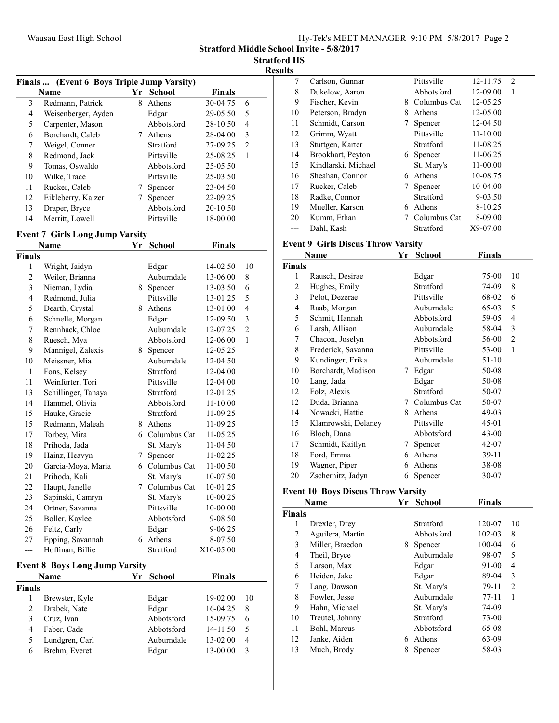Stratford Middle School Invite - 5/8/2017

Stratford HS Results

Finals ... (Event 6 Boys Triple Jump Varsity) Name  $Yr$  School Finals 3 30-04.75 6 Redmann, Patrick 8 Athens 4 Weisenberger, Ayden Edgar 29-05.50 5<br>5 Carpenter, Mason Abbotsford 28-10.50 4 5 28-10.50 4 Carpenter, Mason Abbotsford 6 28-04.00 3 Borchardt, Caleb 7 Athens 7 Weigel, Conner Stratford 27-09.25 2<br>8 Redmond, Jack Pittsville 25-08.25 1 Redmond, Jack 9 25-05.50 Tomas, Oswaldo Abbotsford 10 Wilke, Trace Pittsville 25-03.50<br>11 Rucker, Caleb 7 Spencer 23-04.50 11 Rucker, Caleb 7 Spencer 23-04.50 12 Eikleberry, Kaizer 7 Spencer 22-09.25 13 20-10.50 Draper, Bryce Abbotsford 14 Merritt, Lowell Pittsville 18-00.00

## Event 7 Girls Long Jump Varsity

|                                       | Name                | Yr | <b>School</b>  | <b>Finals</b> |                |  |  |
|---------------------------------------|---------------------|----|----------------|---------------|----------------|--|--|
| <b>Finals</b>                         |                     |    |                |               |                |  |  |
| 1                                     | Wright, Jaidyn      |    | Edgar          | 14-02.50      | 10             |  |  |
| $\overline{c}$                        | Weiler, Brianna     |    | Auburndale     | 13-06.00      | 8              |  |  |
| 3                                     | Nieman, Lydia       |    | 8 Spencer      | 13-03.50      | 6              |  |  |
| 4                                     | Redmond, Julia      |    | Pittsville     | 13-01.25      | 5              |  |  |
| 5                                     | Dearth, Crystal     |    | 8 Athens       | 13-01.00      | 4              |  |  |
| 6                                     | Schnelle, Morgan    |    | Edgar          | 12-09.50      | 3              |  |  |
| 7                                     | Rennhack, Chloe     |    | Auburndale     | 12-07.25      | $\overline{2}$ |  |  |
| 8                                     | Ruesch, Mya         |    | Abbotsford     | 12-06.00      | 1              |  |  |
| 9                                     | Mannigel, Zalexis   |    | 8 Spencer      | 12-05.25      |                |  |  |
| 10                                    | Meissner, Mia       |    | Auburndale     | 12-04.50      |                |  |  |
| 11                                    | Fons, Kelsey        |    | Stratford      | 12-04.00      |                |  |  |
| 11                                    | Weinfurter, Tori    |    | Pittsville     | 12-04.00      |                |  |  |
| 13                                    | Schillinger, Tanaya |    | Stratford      | 12-01.25      |                |  |  |
| 14                                    | Hammel, Olivia      |    | Abbotsford     | 11-10.00      |                |  |  |
| 15                                    | Hauke, Gracie       |    | Stratford      | 11-09.25      |                |  |  |
| 15                                    | Redmann, Maleah     |    | 8 Athens       | 11-09.25      |                |  |  |
| 17                                    | Torbey, Mira        |    | 6 Columbus Cat | 11-05.25      |                |  |  |
| 18                                    | Prihoda, Jada       |    | St. Mary's     | 11-04.50      |                |  |  |
| 19                                    | Hainz, Heavyn       | 7  | Spencer        | 11-02.25      |                |  |  |
| 20                                    | Garcia-Moya, Maria  |    | 6 Columbus Cat | 11-00.50      |                |  |  |
| 21                                    | Prihoda, Kali       |    | St. Mary's     | 10-07.50      |                |  |  |
| 22                                    | Haupt, Janelle      |    | 7 Columbus Cat | 10-01.25      |                |  |  |
| 23                                    | Sapinski, Camryn    |    | St. Mary's     | 10-00.25      |                |  |  |
| 24                                    | Ortner, Savanna     |    | Pittsville     | 10-00.00      |                |  |  |
| 25                                    | Boller, Kaylee      |    | Abbotsford     | 9-08.50       |                |  |  |
| 26                                    | Feltz, Carly        |    | Edgar          | 9-06.25       |                |  |  |
| 27                                    | Epping, Savannah    |    | 6 Athens       | 8-07.50       |                |  |  |
| $---$                                 | Hoffman, Billie     |    | Stratford      | X10-05.00     |                |  |  |
| <b>Event 8 Boys Long Jump Varsity</b> |                     |    |                |               |                |  |  |
| Name                                  |                     | Yr | <b>School</b>  | <b>Finals</b> |                |  |  |
| <b>Finals</b>                         |                     |    |                |               |                |  |  |
| 1                                     | Brewster, Kyle      |    | Edgar          | 19-02.00      | 10             |  |  |
| $\overline{c}$                        | Drabek, Nate        |    | Edgar          | 16-04.25      | 8              |  |  |
| 3                                     | Cruz, Ivan          |    | Abbotsford     | 15-09.75      | 6              |  |  |
| 4                                     | Faber, Cade         |    | Abbotsford     | 14-11.50      | 5              |  |  |
| 5                                     | Lundgren, Carl      |    | Auburndale     | 13-02.00      | $\overline{4}$ |  |  |
| 6                                     | Brehm. Everet       |    | Edgar          | 13-00.00      | 3              |  |  |

| 7  | Carlson, Gunnar     |   | Pittsville   | 12-11.75     | 2 |  |
|----|---------------------|---|--------------|--------------|---|--|
| 8  | Dukelow, Aaron      |   | Abbotsford   | 12-09.00     | 1 |  |
| 9  | Fischer, Kevin      | 8 | Columbus Cat | 12-05.25     |   |  |
| 10 | Peterson, Bradyn    | 8 | Athens       | 12-05.00     |   |  |
| 11 | Schmidt, Carson     |   | Spencer      | 12-04.50     |   |  |
| 12 | Grimm, Wyatt        |   | Pittsville   | $11 - 10.00$ |   |  |
| 13 | Stuttgen, Karter    |   | Stratford    | 11-08.25     |   |  |
| 14 | Brookhart, Peyton   |   | 6 Spencer    | 11-06.25     |   |  |
| 15 | Kindlarski, Michael |   | St. Mary's   | 11-00.00     |   |  |
| 16 | Sheahan, Connor     | 6 | Athens       | 10-08.75     |   |  |
| 17 | Rucker, Caleb       |   | Spencer      | $10-04.00$   |   |  |
| 18 | Radke, Connor       |   | Stratford    | 9-03.50      |   |  |
| 19 | Mueller, Karson     | 6 | Athens       | $8-10.25$    |   |  |
| 20 | Kumm, Ethan         |   | Columbus Cat | 8-09.00      |   |  |
|    | Dahl, Kash          |   | Stratford    | X9-07.00     |   |  |
|    |                     |   |              |              |   |  |

#### Event 9 Girls Discus Throw Varsity

| Name          |                     | Yr | <b>School</b>    | Finals |                |
|---------------|---------------------|----|------------------|--------|----------------|
| <b>Finals</b> |                     |    |                  |        |                |
| 1             | Rausch, Desirae     |    | Edgar            | 75-00  | 10             |
| 2             | Hughes, Emily       |    | Stratford        | 74-09  | 8              |
| 3             | Pelot, Dezerae      |    | Pittsville       | 68-02  | 6              |
| 4             | Raab, Morgan        |    | Auburndale       | 65-03  | 5              |
| 5             | Schmit, Hannah      |    | Abbotsford       | 59-05  | 4              |
| 6             | Larsh, Allison      |    | Auburndale       | 58-04  | 3              |
| 7             | Chacon, Joselyn     |    | Abbotsford       | 56-00  | $\overline{2}$ |
| 8             | Frederick, Savanna  |    | Pittsville       | 53-00  | $\mathbf{1}$   |
| 9             | Kundinger, Erika    |    | Auburndale       | 51-10  |                |
| 10            | Borchardt, Madison  | 7  | Edgar            | 50-08  |                |
| 10            | Lang, Jada          |    | Edgar            | 50-08  |                |
| 12            | Folz, Alexis        |    | <b>Stratford</b> | 50-07  |                |
| 12            | Duda, Brianna       |    | 7 Columbus Cat   | 50-07  |                |
| 14            | Nowacki, Hattie     | 8  | Athens           | 49-03  |                |
| 15            | Klamrowski, Delaney |    | Pittsville       | 45-01  |                |
| 16            | Bloch, Dana         |    | Abbotsford       | 43-00  |                |
| 17            | Schmidt, Kaitlyn    | 7  | Spencer          | 42-07  |                |
| 18            | Ford, Emma          | 6  | Athens           | 39-11  |                |
| 19            | Wagner, Piper       | 6  | Athens           | 38-08  |                |
| 20            | Zschernitz, Jadyn   | 6  | Spencer          | 30-07  |                |

#### Event 10 Boys Discus Throw Varsity

| Name          |                  | Yr | <b>School</b> | <b>Finals</b> |    |
|---------------|------------------|----|---------------|---------------|----|
| <b>Finals</b> |                  |    |               |               |    |
| 1             | Drexler, Drey    |    | Stratford     | 120-07        | 10 |
| 2             | Aguilera, Martin |    | Abbotsford    | 102-03        | 8  |
| 3             | Miller, Braedon  | 8  | Spencer       | 100-04        | 6  |
| 4             | Theil, Bryce     |    | Auburndale    | 98-07         | 5  |
| 5             | Larson, Max      |    | Edgar         | 91-00         | 4  |
| 6             | Heiden, Jake     |    | Edgar         | 89-04         | 3  |
| 7             | Lang, Dawson     |    | St. Mary's    | 79-11         | 2  |
| 8             | Fowler, Jesse    |    | Auburndale    | $77-11$       | 1  |
| 9             | Hahn, Michael    |    | St. Mary's    | 74-09         |    |
| 10            | Treutel, Johnny  |    | Stratford     | 73-00         |    |
| 11            | Bohl, Marcus     |    | Abbotsford    | 65-08         |    |
| 12            | Janke, Aiden     | 6  | Athens        | 63-09         |    |
| 13            | Much, Brody      | 8  | Spencer       | 58-03         |    |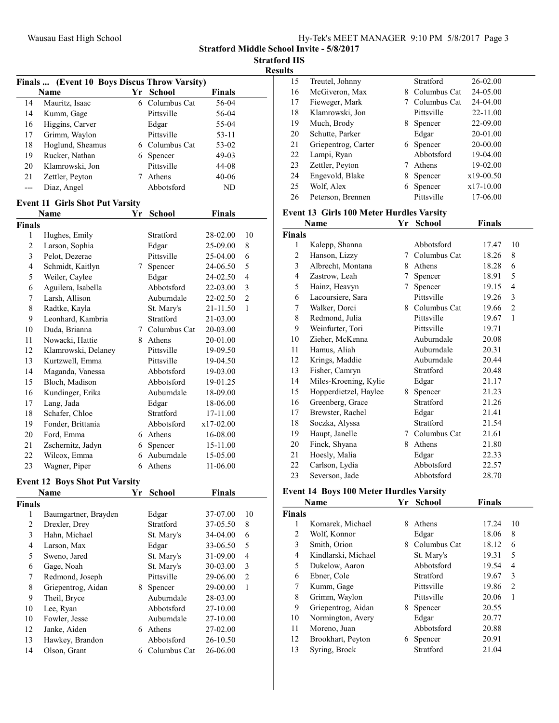|  |  |  |  | Hy-Tek's MEET MANAGER 9:10 PM 5/8/2017 Page 3 |  |  |  |
|--|--|--|--|-----------------------------------------------|--|--|--|
|--|--|--|--|-----------------------------------------------|--|--|--|

Stratford Middle School Invite - 5/8/2017

**Stratford HS** Results

|                |                                              |    |                |               |                | Results                 |
|----------------|----------------------------------------------|----|----------------|---------------|----------------|-------------------------|
|                | Finals  (Event 10 Boys Discus Throw Varsity) |    |                |               |                | 15                      |
|                | Name                                         |    | Yr School      | <b>Finals</b> |                | 16                      |
| 14             | Mauritz, Isaac                               |    | 6 Columbus Cat | 56-04         |                | 17                      |
| 14             | Kumm, Gage                                   |    | Pittsville     | 56-04         |                | 18                      |
| 16             | Higgins, Carver                              |    | Edgar          | 55-04         |                | 19                      |
| 17             | Grimm, Waylon                                |    | Pittsville     | 53-11         |                | 20                      |
| 18             | Hoglund, Sheamus                             |    | 6 Columbus Cat | 53-02         |                | 21                      |
| 19             | Rucker, Nathan                               |    | 6 Spencer      | $49-03$       |                | 22                      |
| 20             | Klamrowski, Jon                              |    | Pittsville     | 44-08         |                | 23                      |
| 21             | Zettler, Peyton                              | 7  | Athens         | $40 - 06$     |                | 24                      |
| $\overline{a}$ | Diaz, Angel                                  |    | Abbotsford     | ND            |                | 25                      |
|                | <b>Event 11 Girls Shot Put Varsity</b>       |    |                |               |                | 26                      |
|                | Name                                         | Υr | <b>School</b>  | <b>Finals</b> |                | Even                    |
| <b>Finals</b>  |                                              |    |                |               |                |                         |
| $\mathbf{1}$   | Hughes, Emily                                |    | Stratford      | 28-02.00      | 10             | Final                   |
| $\overline{2}$ | Larson, Sophia                               |    | Edgar          | 25-09.00      | 8              | $\mathbf{1}$            |
| 3              | Pelot, Dezerae                               |    | Pittsville     | 25-04.00      | 6              | $\overline{c}$          |
| $\overline{4}$ | Schmidt, Kaitlyn                             | 7  | Spencer        | 24-06.50      | 5              | $\overline{\mathbf{3}}$ |
| 5              | Weiler, Caylee                               |    | Edgar          | 24-02.50      | $\overline{4}$ | $\overline{\mathbf{4}}$ |
| 6              | Aguilera, Isabella                           |    | Abbotsford     | 22-03.00      | 3              | 5                       |
| $\tau$         | Larsh, Allison                               |    | Auburndale     | 22-02.50      | $\overline{c}$ | 6                       |
| 8              | Radtke, Kayla                                |    | St. Mary's     | 21-11.50      | $\mathbf{1}$   | $\boldsymbol{7}$        |
| 9              | Leonhard, Kambria                            |    | Stratford      | 21-03.00      |                | 8                       |
| 10             | Duda, Brianna                                |    | 7 Columbus Cat | 20-03.00      |                | 9                       |
| 11             | Nowacki, Hattie                              |    | 8 Athens       | 20-01.00      |                | 10                      |
| 12             | Klamrowski, Delaney                          |    | Pittsville     | 19-09.50      |                | 11                      |
| 13             | Kurtzwell, Emma                              |    | Pittsville     | 19-04.50      |                | 12                      |
| 14             | Maganda, Vanessa                             |    | Abbotsford     | 19-03.00      |                | 13                      |
| 15             | Bloch, Madison                               |    | Abbotsford     | 19-01.25      |                | 14                      |
| 16             | Kundinger, Erika                             |    | Auburndale     | 18-09.00      |                | 15                      |
| 17             | Lang, Jada                                   |    | Edgar          | 18-06.00      |                | 16                      |
| 18             | Schafer, Chloe                               |    | Stratford      | 17-11.00      |                | 17                      |
| 19             | Fonder, Brittania                            |    | Abbotsford     | x17-02.00     |                | 18                      |
| 20             | Ford, Emma                                   |    | 6 Athens       | 16-08.00      |                | 19                      |
| 21             | Zschernitz, Jadyn                            | 6  | Spencer        | 15-11.00      |                | 20                      |
| 22             | Wilcox, Emma                                 | 6  | Auburndale     | 15-05.00      |                | 21                      |
| 23             | Wagner, Piper                                | 6  | Athens         | 11-06.00      |                | 22                      |
|                | <b>Event 12 Boys Shot Put Varsity</b>        |    |                |               |                | 23                      |
|                | Name                                         |    | Yr School      | <b>Finals</b> |                | Even                    |
|                |                                              |    |                |               |                |                         |

### Eve

|               | Name                 | r r | SCHOOL       | r ınaıs  |                |
|---------------|----------------------|-----|--------------|----------|----------------|
| <b>Finals</b> |                      |     |              |          |                |
| 1             | Baumgartner, Brayden |     | Edgar        | 37-07.00 | 10             |
| 2             | Drexler, Drey        |     | Stratford    | 37-05.50 | 8              |
| 3             | Hahn, Michael        |     | St. Mary's   | 34-04.00 | 6              |
| 4             | Larson, Max          |     | Edgar        | 33-06.50 | 5              |
| 5             | Sweno, Jared         |     | St. Mary's   | 31-09.00 | 4              |
| 6             | Gage, Noah           |     | St. Mary's   | 30-03.00 | 3              |
| 7             | Redmond, Joseph      |     | Pittsville   | 29-06.00 | $\overline{c}$ |
| 8             | Griepentrog, Aidan   | 8   | Spencer      | 29-00.00 | 1              |
| 9             | Theil, Bryce         |     | Auburndale   | 28-03.00 |                |
| 10            | Lee, Ryan            |     | Abbotsford   | 27-10.00 |                |
| 10            | Fowler, Jesse        |     | Auburndale   | 27-10.00 |                |
| 12            | Janke, Aiden         | 6   | Athens       | 27-02.00 |                |
| 13            | Hawkey, Brandon      |     | Abbotsford   | 26-10.50 |                |
| 14            | Olson, Grant         | 6   | Columbus Cat | 26-06.00 |                |
|               |                      |     |              |          |                |

| 15 | Treutel, Johnny     |    | Stratford    | 26-02.00    |  |
|----|---------------------|----|--------------|-------------|--|
| 16 | McGiveron, Max      | 8. | Columbus Cat | 24-05.00    |  |
| 17 | Fieweger, Mark      |    | Columbus Cat | 24-04.00    |  |
| 18 | Klamrowski, Jon     |    | Pittsville   | 22-11.00    |  |
| 19 | Much, Brody         | 8. | Spencer      | 22-09.00    |  |
| 20 | Schutte, Parker     |    | Edgar        | 20-01.00    |  |
| 21 | Griepentrog, Carter |    | 6 Spencer    | 20-00.00    |  |
| 22 | Lampi, Ryan         |    | Abbotsford   | 19-04.00    |  |
| 23 | Zettler, Peyton     |    | Athens       | 19-02.00    |  |
| 24 | Engevold, Blake     | 8  | Spencer      | $x19-00.50$ |  |
| 25 | Wolf, Alex          | 6. | Spencer      | x17-10.00   |  |
| 26 | Peterson, Brennen   |    | Pittsville   | 17-06.00    |  |

#### It 13 Girls 100 Meter Hurdles Varsity

| Name   |                       | Yr | School       | <b>Finals</b> |              |
|--------|-----------------------|----|--------------|---------------|--------------|
| Finals |                       |    |              |               |              |
| 1      | Kalepp, Shanna        |    | Abbotsford   | 17.47         | 10           |
| 2      | Hanson, Lizzy         | 7  | Columbus Cat | 18.26         | 8            |
| 3      | Albrecht, Montana     | 8  | Athens       | 18.28         | 6            |
| 4      | Zastrow, Leah         | 7  | Spencer      | 18.91         | 5            |
| 5      | Hainz, Heavyn         | 7  | Spencer      | 19.15         | 4            |
| 6      | Lacoursiere, Sara     |    | Pittsville   | 19.26         | 3            |
| 7      | Walker, Dorci         | 8  | Columbus Cat | 19.66         | 2            |
| 8      | Redmond, Julia        |    | Pittsville   | 19.67         | $\mathbf{1}$ |
| 9      | Weinfurter, Tori      |    | Pittsville   | 19.71         |              |
| 10     | Zieher, McKenna       |    | Auburndale   | 20.08         |              |
| 11     | Hamus, Aliah          |    | Auburndale   | 20.31         |              |
| 12     | Krings, Maddie        |    | Auburndale   | 20.44         |              |
| 13     | Fisher, Camryn        |    | Stratford    | 20.48         |              |
| 14     | Miles-Kroening, Kylie |    | Edgar        | 21.17         |              |
| 15     | Hopperdietzel, Haylee | 8  | Spencer      | 21.23         |              |
| 16     | Greenberg, Grace      |    | Stratford    | 21.26         |              |
| 17     | Brewster, Rachel      |    | Edgar        | 21.41         |              |
| 18     | Soczka, Alyssa        |    | Stratford    | 21.54         |              |
| 19     | Haupt, Janelle        | 7  | Columbus Cat | 21.61         |              |
| 20     | Finck, Shyana         | 8  | Athens       | 21.80         |              |
| 21     | Hoesly, Malia         |    | Edgar        | 22.33         |              |
| 22     | Carlson, Lydia        |    | Abbotsford   | 22.57         |              |
| 23     | Severson, Jade        |    | Abbotsford   | 28.70         |              |

## nt 14 Boys 100 Meter Hurdles Varsity

|               | Name                | Yr | <b>School</b> | <b>Finals</b> |                |
|---------------|---------------------|----|---------------|---------------|----------------|
| <b>Finals</b> |                     |    |               |               |                |
| 1             | Komarek, Michael    | 8  | Athens        | 17.24         | 10             |
| 2             | Wolf, Konnor        |    | Edgar         | 18.06         | 8              |
| 3             | Smith, Orion        | 8. | Columbus Cat  | 18.12         | 6              |
| 4             | Kindlarski, Michael |    | St. Mary's    | 19.31         | 5              |
| 5             | Dukelow, Aaron      |    | Abbotsford    | 19.54         | 4              |
| 6             | Ebner, Cole         |    | Stratford     | 19.67         | 3              |
| 7             | Kumm, Gage          |    | Pittsville    | 19.86         | $\overline{c}$ |
| 8             | Grimm, Waylon       |    | Pittsville    | 20.06         | 1              |
| 9             | Griepentrog, Aidan  | 8. | Spencer       | 20.55         |                |
| 10            | Normington, Avery   |    | Edgar         | 20.77         |                |
| 11            | Moreno, Juan        |    | Abbotsford    | 20.88         |                |
| 12            | Brookhart, Peyton   | 6  | Spencer       | 20.91         |                |
| 13            | Syring, Brock       |    | Stratford     | 21.04         |                |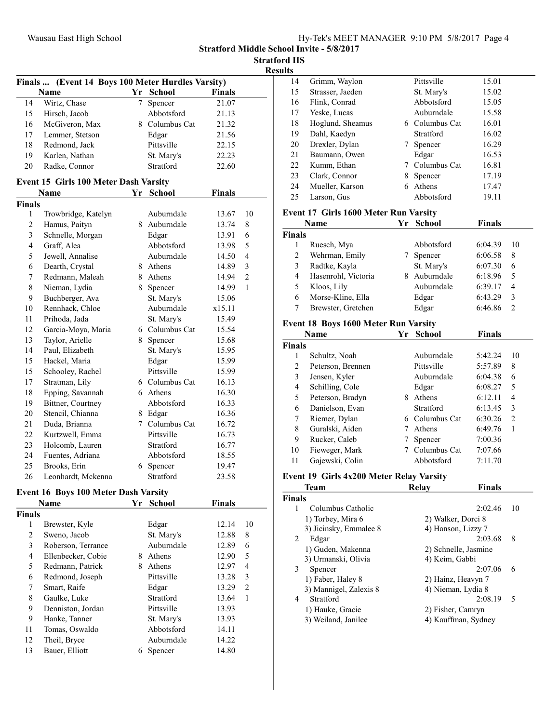Stratford Middle School Invite - 5/8/2017

Stratford HS

|               | Finals  (Event 14 Boys 100 Meter Hurdles Varsity) |    |                |               |                |  |
|---------------|---------------------------------------------------|----|----------------|---------------|----------------|--|
|               | <b>Name</b>                                       |    | Yr School      | <b>Finals</b> |                |  |
| 14            | Wirtz, Chase                                      | 7  | Spencer        | 21.07         |                |  |
| 15            | Hirsch, Jacob                                     |    | Abbotsford     | 21.13         |                |  |
| 16            | McGiveron, Max                                    |    | 8 Columbus Cat | 21.32         |                |  |
| 17            | Lemmer, Stetson                                   |    | Edgar          | 21.56         |                |  |
| 18            | Redmond, Jack                                     |    | Pittsville     | 22.15         |                |  |
| 19            | Karlen, Nathan                                    |    | St. Mary's     | 22.23         |                |  |
| 20            | Radke, Connor                                     |    | Stratford      | 22.60         |                |  |
|               | Event 15 Girls 100 Meter Dash Varsity             |    |                |               |                |  |
|               | <b>Name</b>                                       |    | Yr School      | Finals        |                |  |
| <b>Finals</b> |                                                   |    |                |               |                |  |
| 1             | Trowbridge, Katelyn                               |    | Auburndale     | 13.67         | 10             |  |
| 2             | Hamus, Paityn                                     |    | 8 Auburndale   | 13.74         | 8              |  |
| 3             | Schnelle, Morgan                                  |    | Edgar          | 13.91         | 6              |  |
| 4             | Graff, Alea                                       |    | Abbotsford     | 13.98         | 5              |  |
| 5             | Jewell, Annalise                                  |    | Auburndale     | 14.50         | $\overline{4}$ |  |
| 6             | Dearth, Crystal                                   |    | 8 Athens       | 14.89         | 3              |  |
| 7             | Redmann, Maleah                                   |    | 8 Athens       | 14.94         | $\overline{2}$ |  |
| 8             | Nieman, Lydia                                     |    | 8 Spencer      | 14.99         | $\mathbf{1}$   |  |
| 9             | Buchberger, Ava                                   |    | St. Mary's     | 15.06         |                |  |
| 10            | Rennhack, Chloe                                   |    | Auburndale     | x15.11        |                |  |
| 11            | Prihoda, Jada                                     |    | St. Mary's     | 15.49         |                |  |
| 12            | Garcia-Moya, Maria                                |    | 6 Columbus Cat | 15.54         |                |  |
| 13            | Taylor, Arielle                                   | 8. | Spencer        | 15.68         |                |  |
| 14            | Paul, Elizabeth                                   |    | St. Mary's     | 15.95         |                |  |
| 15            | Hackel, Maria                                     |    | Edgar          | 15.99         |                |  |
| 15            | Schooley, Rachel                                  |    | Pittsville     | 15.99         |                |  |
| 17            | Stratman, Lily                                    |    | 6 Columbus Cat | 16.13         |                |  |
| 18            | Epping, Savannah                                  |    | 6 Athens       | 16.30         |                |  |
| 19            | Bittner, Courtney                                 |    | Abbotsford     | 16.33         |                |  |
| 20            | Stencil, Chianna                                  |    | 8 Edgar        | 16.36         |                |  |
| 21            | Duda, Brianna                                     |    | 7 Columbus Cat | 16.72         |                |  |
| 22            | Kurtzwell, Emma                                   |    | Pittsville     | 16.73         |                |  |
| 23            | Holcomb, Lauren                                   |    | Stratford      | 16.77         |                |  |
| 24            | Fuentes, Adriana                                  |    | Abbotsford     | 18.55         |                |  |
| 25            | Brooks, Erin                                      |    | 6 Spencer      | 19.47         |                |  |
| 26            | Leonhardt, Mckenna                                |    | Stratford      | 23.58         |                |  |

#### Event 16 Boys 100 Meter Dash Varsity

|               | Name               | Yr | <b>School</b> | <b>Finals</b> |                |
|---------------|--------------------|----|---------------|---------------|----------------|
| <b>Finals</b> |                    |    |               |               |                |
| 1             | Brewster, Kyle     |    | Edgar         | 12.14         | 10             |
| 2             | Sweno, Jacob       |    | St. Mary's    | 12.88         | 8              |
| 3             | Roberson, Terrance |    | Auburndale    | 12.89         | 6              |
| 4             | Ellenbecker, Cobie | 8  | Athens        | 12.90         | 5              |
| 5             | Redmann, Patrick   | 8  | Athens        | 12.97         | 4              |
| 6             | Redmond, Joseph    |    | Pittsville    | 13.28         | 3              |
| 7             | Smart, Raife       |    | Edgar         | 13.29         | $\overline{2}$ |
| 8             | Gaulke, Luke       |    | Stratford     | 13.64         | 1              |
| 9             | Denniston, Jordan  |    | Pittsville    | 13.93         |                |
| 9             | Hanke, Tanner      |    | St. Mary's    | 13.93         |                |
| 11            | Tomas, Oswaldo     |    | Abbotsford    | 14.11         |                |
| 12            | Theil, Bryce       |    | Auburndale    | 14.22         |                |
| 13            | Bauer, Elliott     | 6  | Spencer       | 14.80         |                |

| 14 | Grimm, Waylon    |   | Pittsville     | 15.01 |  |
|----|------------------|---|----------------|-------|--|
| 15 | Strasser, Jaeden |   | St. Mary's     | 15.02 |  |
| 16 | Flink, Conrad    |   | Abbotsford     | 15.05 |  |
| 17 | Yeske, Lucas     |   | Auburndale     | 15.58 |  |
| 18 | Hoglund, Sheamus |   | 6 Columbus Cat | 16.01 |  |
| 19 | Dahl, Kaedyn     |   | Stratford      | 16.02 |  |
| 20 | Drexler, Dylan   |   | Spencer        | 16.29 |  |
| 21 | Baumann, Owen    |   | Edgar          | 16.53 |  |
| 22 | Kumm, Ethan      |   | Columbus Cat   | 16.81 |  |
| 23 | Clark, Connor    | 8 | Spencer        | 17.19 |  |
| 24 | Mueller, Karson  | 6 | Athens         | 17.47 |  |
| 25 | Larson, Gus      |   | Abbotsford     | 19.11 |  |
|    |                  |   |                |       |  |

#### Event 17 Girls 1600 Meter Run Varsity

|               | Name                | Yr | School     | <b>Finals</b> |    |
|---------------|---------------------|----|------------|---------------|----|
| <b>Finals</b> |                     |    |            |               |    |
|               | Ruesch, Mya         |    | Abbotsford | 6:04.39       | 10 |
| 2             | Wehrman, Emily      |    | Spencer    | 6:06.58       | 8  |
| 3             | Radtke, Kayla       |    | St. Mary's | 6:07.30       | 6  |
| 4             | Hasenrohl, Victoria | 8  | Auburndale | 6:18.96       | 5  |
| 5             | Kloos, Lily         |    | Auburndale | 6:39.17       | 4  |
| 6             | Morse-Kline, Ella   |    | Edgar      | 6:43.29       | 3  |
|               | Brewster, Gretchen  |    | Edgar      | 6:46.86       |    |

#### Event 18 Boys 1600 Meter Run Varsity

|               | Name              | Yr | <b>School</b>  | <b>Finals</b> |                |
|---------------|-------------------|----|----------------|---------------|----------------|
| <b>Finals</b> |                   |    |                |               |                |
| 1             | Schultz, Noah     |    | Auburndale     | 5:42.24       | 10             |
| 2             | Peterson, Brennen |    | Pittsville     | 5:57.89       | 8              |
| 3             | Jensen, Kyler     |    | Auburndale     | 6:04.38       | 6              |
| 4             | Schilling, Cole   |    | Edgar          | 6:08.27       | 5              |
| 5             | Peterson, Bradyn  | 8  | Athens         | 6:12.11       | 4              |
| 6             | Danielson, Evan   |    | Stratford      | 6:13.45       | 3              |
| 7             | Riemer, Dylan     |    | 6 Columbus Cat | 6:30.26       | $\mathfrak{D}$ |
| 8             | Guralski, Aiden   |    | Athens         | 6:49.76       | 1              |
| 9             | Rucker, Caleb     |    | Spencer        | 7:00.36       |                |
| 10            | Fieweger, Mark    |    | Columbus Cat   | 7:07.66       |                |
| 11            | Gajewski, Colin   |    | Abbotsford     | 7:11.70       |                |

## Event 19 Girls 4x200 Meter Relay Varsity

|               | <b>Team</b>            | <b>Relav</b>       | <b>Finals</b>        |        |
|---------------|------------------------|--------------------|----------------------|--------|
| <b>Finals</b> |                        |                    |                      |        |
| 1             | Columbus Catholic      |                    | 2:02.46              | 10     |
|               | 1) Torbey, Mira 6      | 2) Walker, Dorci 8 |                      |        |
|               | 3) Jicinsky, Emmalee 8 | 4) Hanson, Lizzy 7 |                      |        |
| 2             | Edgar                  |                    | 2:03.68              | 8      |
|               | 1) Guden, Makenna      |                    | 2) Schnelle, Jasmine |        |
|               | 3) Urmanski, Olivia    | 4) Keim, Gabbi     |                      |        |
| 3             | Spencer                |                    | 2:07.06              | 6      |
|               | 1) Faber, Haley 8      | 2) Hainz, Heavyn 7 |                      |        |
|               | 3) Mannigel, Zalexis 8 | 4) Nieman, Lydia 8 |                      |        |
| 4             | Stratford              |                    | 2:08.19              | $\sim$ |
|               | 1) Hauke, Gracie       | 2) Fisher, Camryn  |                      |        |
|               | 3) Weiland, Janilee    |                    | 4) Kauffman, Sydney  |        |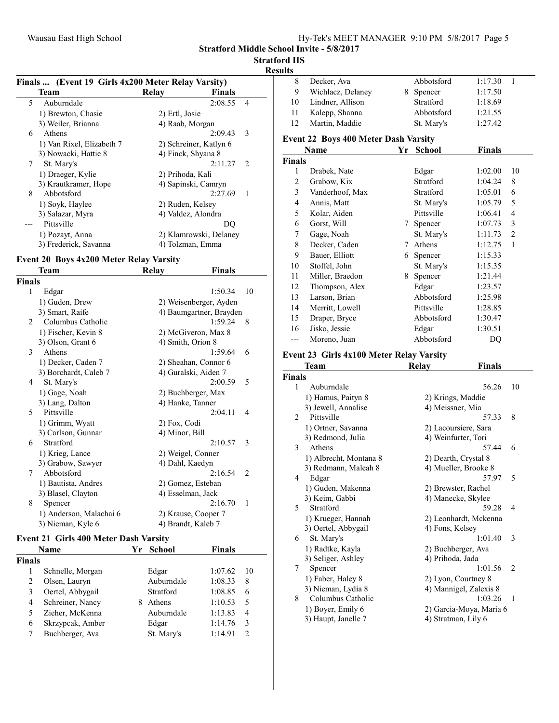Stratford Middle School Invite - 5/8/2017

Stratford HS

#### Results

|   | Finals  (Event 19 Girls 4x200 Meter Relay Varsity) |                        |                |
|---|----------------------------------------------------|------------------------|----------------|
|   | Team                                               | Finals<br>Relay        |                |
| 5 | Auburndale                                         | 2:08.55                | 4              |
|   | 1) Brewton, Chasie                                 | 2) Ertl, Josie         |                |
|   | 3) Weiler, Brianna                                 | 4) Raab, Morgan        |                |
| 6 | Athens                                             | 2:09.43                | 3              |
|   | 1) Van Rixel, Elizabeth 7                          | 2) Schreiner, Katlyn 6 |                |
|   | 3) Nowacki, Hattie 8                               | 4) Finck, Shyana 8     |                |
| 7 | St. Mary's                                         | 2:11.27                | $\mathcal{L}$  |
|   | 1) Draeger, Kylie                                  | 2) Prihoda, Kali       |                |
|   | 3) Krautkramer, Hope                               | 4) Sapinski, Camryn    |                |
| 8 | Abbotsford                                         | 2:27.69                | $\blacksquare$ |
|   | 1) Soyk, Haylee                                    | 2) Ruden, Kelsey       |                |
|   | 3) Salazar, Myra                                   | 4) Valdez, Alondra     |                |
|   | Pittsville                                         | DO                     |                |
|   | 1) Pozayt, Anna                                    | 2) Klamrowski, Delaney |                |
|   | 3) Frederick, Savanna                              | 4) Tolzman, Emma       |                |
|   |                                                    |                        |                |

# Event 20 Boys 4x200 Meter Relay Varsity

|                | Team                    | Relay                | Finals                  |    |
|----------------|-------------------------|----------------------|-------------------------|----|
| <b>Finals</b>  |                         |                      |                         |    |
| 1              | Edgar                   |                      | 1:50.34                 | 10 |
|                | 1) Guden, Drew          |                      | 2) Weisenberger, Ayden  |    |
|                | 3) Smart, Raife         |                      | 4) Baumgartner, Brayden |    |
| $\mathfrak{D}$ | Columbus Catholic       |                      | 1:59.24                 | 8  |
|                | 1) Fischer, Kevin 8     |                      | 2) McGiveron, Max 8     |    |
|                | 3) Olson, Grant 6       | 4) Smith, Orion 8    |                         |    |
| 3              | Athens                  |                      | 1:59.64                 | 6  |
|                | 1) Decker, Caden 7      |                      | 2) Sheahan, Connor 6    |    |
|                | 3) Borchardt, Caleb 7   | 4) Guralski, Aiden 7 |                         |    |
| 4              | St. Mary's              |                      | 2:00.59                 | 5  |
|                | 1) Gage, Noah           | 2) Buchberger, Max   |                         |    |
|                | 3) Lang, Dalton         | 4) Hanke, Tanner     |                         |    |
| 5              | Pittsville              |                      | 2:04.11                 | 4  |
|                | 1) Grimm, Wyatt         | 2) Fox, Codi         |                         |    |
|                | 3) Carlson, Gunnar      | 4) Minor, Bill       |                         |    |
| 6              | Stratford               |                      | 2:10.57                 | 3  |
|                | 1) Krieg, Lance         | 2) Weigel, Conner    |                         |    |
|                | 3) Grabow, Sawyer       | 4) Dahl, Kaedyn      |                         |    |
| 7              | Abbotsford              |                      | 2:16.54                 | 2  |
|                | 1) Bautista, Andres     | 2) Gomez, Esteban    |                         |    |
|                | 3) Blasel, Clayton      | 4) Esselman, Jack    |                         |    |
| 8              | Spencer                 |                      | 2:16.70                 | 1  |
|                | 1) Anderson, Malachai 6 | 2) Krause, Cooper 7  |                         |    |
|                | 3) Nieman, Kyle 6       | 4) Brandt, Kaleb 7   |                         |    |
|                |                         |                      |                         |    |

#### Event 21 Girls 400 Meter Dash Varsity

|        | Name             | Yr School  | <b>Finals</b> |    |
|--------|------------------|------------|---------------|----|
| Finals |                  |            |               |    |
|        | Schnelle, Morgan | Edgar      | 1:07.62       | 10 |
| 2      | Olsen, Lauryn    | Auburndale | 1:08.33       | 8  |
| 3      | Oertel, Abbygail | Stratford  | 1:08.85       | 6  |
| 4      | Schreiner, Nancy | Athens     | 1:10.53       | 5  |
|        | Zieher, McKenna  | Auburndale | 1:13.83       | 4  |
| 6      | Skrzypcak, Amber | Edgar      | 1:14.76       | 3  |
|        | Buchberger, Ava  | St. Mary's | 1:14.91       |    |

| 8              | Decker, Ava                                 |    | Abbotsford           | 1:17.30       | $\mathbf{1}$   |
|----------------|---------------------------------------------|----|----------------------|---------------|----------------|
| 9              | Wichlacz, Delaney                           | 8  | Spencer              | 1:17.50       |                |
| 10             | Lindner, Allison                            |    | Stratford            | 1:18.69       |                |
| 11             | Kalepp, Shanna                              |    | Abbotsford           | 1:21.55       |                |
| 12             | Martin, Maddie                              |    | St. Mary's           | 1:27.42       |                |
|                | <b>Event 22 Boys 400 Meter Dash Varsity</b> |    |                      |               |                |
|                | <b>Name</b>                                 | Yr | <b>School</b>        | <b>Finals</b> |                |
| <b>Finals</b>  |                                             |    |                      |               |                |
| 1              | Drabek, Nate                                |    | Edgar                | 1:02.00       | 10             |
| $\overline{c}$ | Grabow, Kix                                 |    | Stratford            | 1:04.24       | 8              |
| 3              | Vanderhoof, Max                             |    | Stratford            | 1:05.01       | 6              |
| $\overline{4}$ | Annis, Matt                                 |    | St. Mary's           | 1:05.79       | 5              |
| 5              | Kolar, Aiden                                |    | Pittsville           | 1:06.41       | $\overline{4}$ |
| 6              | Gorst, Will                                 | 7  | Spencer              | 1:07.73       | 3              |
| 7              | Gage, Noah                                  |    | St. Mary's           | 1:11.73       | $\overline{c}$ |
| 8              | Decker, Caden                               | 7  | Athens               | 1:12.75       | $\mathbf{1}$   |
| 9              | Bauer, Elliott                              | 6  | Spencer              | 1:15.33       |                |
| 10             | Stoffel, John                               |    | St. Mary's           | 1:15.35       |                |
| 11             | Miller, Braedon                             | 8  | Spencer              | 1:21.44       |                |
| 12             | Thompson, Alex                              |    | Edgar                | 1:23.57       |                |
| 13             | Larson, Brian                               |    | Abbotsford           | 1:25.98       |                |
| 14             | Merritt, Lowell                             |    | Pittsville           | 1:28.85       |                |
| 15             | Draper, Bryce                               |    | Abbotsford           | 1:30.47       |                |
| 16             | Jisko, Jessie                               |    | Edgar                | 1:30.51       |                |
| ---            | Moreno, Juan                                |    | Abbotsford           | DQ            |                |
|                | Event 23 Girls 4x100 Meter Relay Varsity    |    |                      |               |                |
|                | Team                                        |    | <b>Relay</b>         | Finals        |                |
| <b>Finals</b>  |                                             |    |                      |               |                |
| 1              | Auburndale                                  |    |                      | 56.26         | 10             |
|                | 1) Hamus, Paityn 8                          |    | 2) Krings, Maddie    |               |                |
|                | 3) Jewell, Annalise                         |    | 4) Meissner, Mia     |               |                |
| 2              | Pittsville                                  |    |                      | 57.33         | 8              |
|                | 1) Ortner, Savanna                          |    | 2) Lacoursiere, Sara |               |                |
|                | 3) Redmond, Julia                           |    | 4) Weinfurter, Tori  |               |                |
| 3              | Athens                                      |    |                      | 57.44         | 6              |

|    | 1) Albrecht, Montana 8 | 2) Dearth, Crystal 8   |                               |
|----|------------------------|------------------------|-------------------------------|
|    | 3) Redmann, Maleah 8   | 4) Mueller, Brooke 8   |                               |
| 4  | Edgar                  | 57.97                  | 5                             |
|    | 1) Guden, Makenna      | 2) Brewster, Rachel    |                               |
|    | 3) Keim, Gabbi         | 4) Manecke, Skylee     |                               |
| 5. | Stratford              | 59.28                  | 4                             |
|    | 1) Krueger, Hannah     | 2) Leonhardt, Mckenna  |                               |
|    | 3) Oertel, Abbygail    | 4) Fons, Kelsey        |                               |
| 6  | St. Mary's             | 1:01.40                | 3                             |
|    | 1) Radtke, Kayla       | 2) Buchberger, Ava     |                               |
|    | 3) Seliger, Ashley     | 4) Prihoda, Jada       |                               |
|    | Spencer                | 1:01.56                | $\mathfrak{D}_{\mathfrak{p}}$ |
|    | 1) Faber, Haley 8      | 2) Lyon, Courtney 8    |                               |
|    | 3) Nieman, Lydia 8     | 4) Mannigel, Zalexis 8 |                               |
| 8  | Columbus Catholic      | 1:03.26                |                               |

1) Boyer, Emily 6 2) Garcia-Moya, Maria 6<br>3) Haupt, Janelle 7 4) Stratman, Lily 6

 $3)$  Haupt, Janelle 7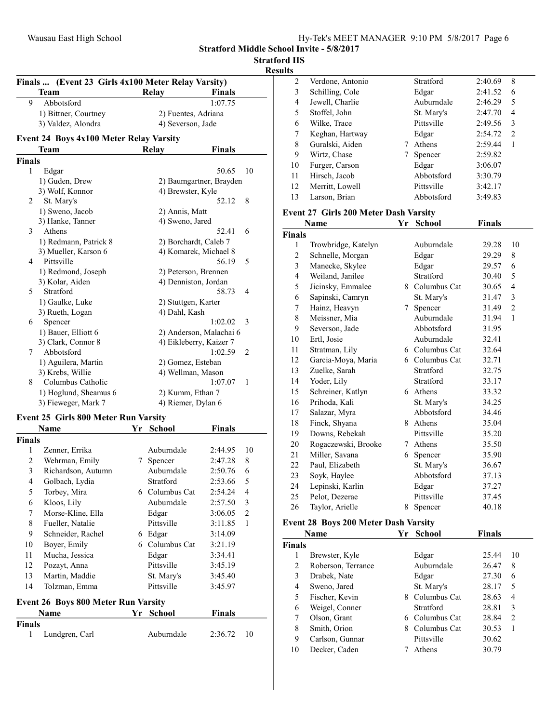Stratford Middle School Invite - 5/8/2017

Results

|        | Finals  (Event 23 Girls 4x100 Meter Relay Varsity) |                     |                           |  |  |  |  |  |
|--------|----------------------------------------------------|---------------------|---------------------------|--|--|--|--|--|
|        | <b>Team</b>                                        | Relay               | Finals                    |  |  |  |  |  |
| 9      | Abbotsford                                         |                     | 1:07.75                   |  |  |  |  |  |
|        | 1) Bittner, Courtney                               |                     | 2) Fuentes, Adriana       |  |  |  |  |  |
|        | 3) Valdez, Alondra                                 | 4) Severson, Jade   |                           |  |  |  |  |  |
|        | <b>Event 24 Boys 4x100 Meter Relay Varsity</b>     |                     |                           |  |  |  |  |  |
|        | Team                                               | Relay               | <b>Finals</b>             |  |  |  |  |  |
| Finals |                                                    |                     |                           |  |  |  |  |  |
| 1      | Edgar                                              |                     | 50.65<br>10               |  |  |  |  |  |
|        | 1) Guden, Drew                                     |                     | 2) Baumgartner, Brayden   |  |  |  |  |  |
|        | 3) Wolf, Konnor                                    | 4) Brewster, Kyle   |                           |  |  |  |  |  |
| 2      | St. Mary's                                         |                     | 52.12<br>8                |  |  |  |  |  |
|        | 1) Sweno, Jacob                                    | 2) Annis, Matt      |                           |  |  |  |  |  |
|        | 3) Hanke, Tanner                                   | 4) Sweno, Jared     |                           |  |  |  |  |  |
| 3      | Athens                                             |                     | 52.41<br>6                |  |  |  |  |  |
|        | 1) Redmann, Patrick 8                              |                     | 2) Borchardt, Caleb 7     |  |  |  |  |  |
|        | 3) Mueller, Karson 6                               |                     | 4) Komarek, Michael 8     |  |  |  |  |  |
| 4      | Pittsville                                         |                     | 56.19<br>5                |  |  |  |  |  |
|        | 1) Redmond, Joseph                                 |                     | 2) Peterson, Brennen      |  |  |  |  |  |
|        | 3) Kolar, Aiden                                    |                     | 4) Denniston, Jordan      |  |  |  |  |  |
| 5      | Stratford                                          |                     | 58.73<br>$\overline{4}$   |  |  |  |  |  |
|        | 1) Gaulke, Luke                                    | 2) Stuttgen, Karter |                           |  |  |  |  |  |
|        | 3) Rueth, Logan                                    | 4) Dahl, Kash       |                           |  |  |  |  |  |
| 6      | Spencer                                            |                     | 1:02.02<br>3              |  |  |  |  |  |
|        | 1) Bauer, Elliott 6                                |                     | 2) Anderson, Malachai 6   |  |  |  |  |  |
|        | 3) Clark, Connor 8                                 |                     | 4) Eikleberry, Kaizer 7   |  |  |  |  |  |
| 7      | Abbotsford                                         |                     | 1:02.59<br>$\overline{2}$ |  |  |  |  |  |
|        | 1) Aguilera, Martin                                | 2) Gomez, Esteban   |                           |  |  |  |  |  |
|        | 3) Krebs, Willie                                   |                     | 4) Wellman, Mason         |  |  |  |  |  |
| 8      | Columbus Catholic                                  |                     | 1:07.07<br>$\overline{1}$ |  |  |  |  |  |
|        | 1) Hoglund, Sheamus 6                              | 2) Kumm, Ethan 7    |                           |  |  |  |  |  |
|        | 3) Fieweger, Mark 7                                | 4) Riemer, Dylan 6  |                           |  |  |  |  |  |
|        |                                                    |                     |                           |  |  |  |  |  |

## Event 25 Girls 800 Meter Run Varsity

|               | Name                                       | Yr | <b>School</b>  | Finals  |                |
|---------------|--------------------------------------------|----|----------------|---------|----------------|
| <b>Finals</b> |                                            |    |                |         |                |
| 1             | Zenner, Errika                             |    | Auburndale     | 2:44.95 | 10             |
| 2             | Wehrman, Emily                             | 7  | Spencer        | 2:47.28 | 8              |
| 3             | Richardson, Autumn                         |    | Auburndale     | 2:50.76 | 6              |
| 4             | Golbach, Lydia                             |    | Stratford      | 2:53.66 | 5              |
| 5             | Torbey, Mira                               |    | 6 Columbus Cat | 2:54.24 | 4              |
| 6             | Kloos, Lily                                |    | Auburndale     | 2:57.50 | 3              |
| 7             | Morse-Kline, Ella                          |    | Edgar          | 3:06.05 | $\overline{2}$ |
| 8             | Fueller, Natalie                           |    | Pittsville     | 3:11.85 | 1              |
| 9             | Schneider, Rachel                          | 6  | Edgar          | 3:14.09 |                |
| 10            | Boyer, Emily                               |    | 6 Columbus Cat | 3:21.19 |                |
| 11            | Mucha, Jessica                             |    | Edgar          | 3:34.41 |                |
| 12            | Pozayt, Anna                               |    | Pittsville     | 3:45.19 |                |
| 13            | Martin, Maddie                             |    | St. Mary's     | 3:45.40 |                |
| 14            | Tolzman, Emma                              |    | Pittsville     | 3:45.97 |                |
|               | <b>Event 26 Boys 800 Meter Run Varsity</b> |    |                |         |                |
|               | Name                                       | Yr | <b>School</b>  | Finals  |                |
| <b>Finals</b> |                                            |    |                |         |                |
| 1             | Lundgren, Carl                             |    | Auburndale     | 2:36.72 | 10             |

| . |    |                  |            |         |   |
|---|----|------------------|------------|---------|---|
|   | 2  | Verdone, Antonio | Stratford  | 2:40.69 | 8 |
|   | 3  | Schilling, Cole  | Edgar      | 2:41.52 | 6 |
|   | 4  | Jewell, Charlie  | Auburndale | 2:46.29 | 5 |
|   | 5  | Stoffel, John    | St. Mary's | 2:47.70 | 4 |
|   | 6  | Wilke, Trace     | Pittsville | 2:49.56 | 3 |
|   | 7  | Keghan, Hartway  | Edgar      | 2:54.72 | 2 |
|   | 8  | Guralski, Aiden  | Athens     | 2:59.44 | 1 |
|   | 9  | Wirtz, Chase     | Spencer    | 2:59.82 |   |
|   | 10 | Furger, Carson   | Edgar      | 3:06.07 |   |
|   | 11 | Hirsch, Jacob    | Abbotsford | 3:30.79 |   |
|   | 12 | Merritt, Lowell  | Pittsville | 3:42.17 |   |
|   | 13 | Larson, Brian    | Abbotsford | 3:49.83 |   |
|   |    |                  |            |         |   |

#### Event 27 Girls 200 Meter Dash Varsity

|                | Name                | Yr | <b>School</b>    | <b>Finals</b> |                |
|----------------|---------------------|----|------------------|---------------|----------------|
| Finals         |                     |    |                  |               |                |
| 1              | Trowbridge, Katelyn |    | Auburndale       | 29.28         | 10             |
| $\overline{2}$ | Schnelle, Morgan    |    | Edgar            | 29.29         | 8              |
| 3              | Manecke, Skylee     |    | Edgar            | 29.57         | 6              |
| $\overline{4}$ | Weiland, Janilee    |    | Stratford        | 30.40         | 5              |
| 5              | Jicinsky, Emmalee   | 8. | Columbus Cat     | 30.65         | 4              |
| 6              | Sapinski, Camryn    |    | St. Mary's       | 31.47         | 3              |
| 7              | Hainz, Heavyn       | 7  | Spencer          | 31.49         | $\overline{2}$ |
| 8              | Meissner, Mia       |    | Auburndale       | 31.94         | $\mathbf{1}$   |
| 9              | Severson, Jade      |    | Abbotsford       | 31.95         |                |
| 10             | Ertl, Josie         |    | Auburndale       | 32.41         |                |
| 11             | Stratman, Lily      |    | 6 Columbus Cat   | 32.64         |                |
| 12             | Garcia-Moya, Maria  | 6  | Columbus Cat     | 32.71         |                |
| 13             | Zuelke, Sarah       |    | <b>Stratford</b> | 32.75         |                |
| 14             | Yoder, Lily         |    | Stratford        | 33.17         |                |
| 15             | Schreiner, Katlyn   | 6  | Athens           | 33.32         |                |
| 16             | Prihoda, Kali       |    | St. Mary's       | 34.25         |                |
| 17             | Salazar, Myra       |    | Abbotsford       | 34.46         |                |
| 18             | Finck, Shyana       | 8  | Athens           | 35.04         |                |
| 19             | Downs, Rebekah      |    | Pittsville       | 35.20         |                |
| 20             | Rogaczewski, Brooke | 7  | Athens           | 35.50         |                |
| 21             | Miller, Savana      | 6  | Spencer          | 35.90         |                |
| 22             | Paul, Elizabeth     |    | St. Mary's       | 36.67         |                |
| 23             | Soyk, Haylee        |    | Abbotsford       | 37.13         |                |
| 24             | Lepinski, Karlin    |    | Edgar            | 37.27         |                |
| 25             | Pelot, Dezerae      |    | Pittsville       | 37.45         |                |
| 26             | Taylor, Arielle     | 8  | Spencer          | 40.18         |                |

### Event 28 Boys 200 Meter Dash Varsity

|               | Name               | Yr | <b>School</b>  | <b>Finals</b> |    |
|---------------|--------------------|----|----------------|---------------|----|
| <b>Finals</b> |                    |    |                |               |    |
| 1             | Brewster, Kyle     |    | Edgar          | 25.44         | 10 |
| 2             | Roberson, Terrance |    | Auburndale     | 26.47         | 8  |
| 3             | Drabek, Nate       |    | Edgar          | 27.30         | 6  |
| 4             | Sweno, Jared       |    | St. Mary's     | 28.17         | 5  |
| 5             | Fischer, Kevin     |    | 8 Columbus Cat | 28.63         | 4  |
| 6             | Weigel, Conner     |    | Stratford      | 28.81         | 3  |
| 7             | Olson, Grant       |    | 6 Columbus Cat | 28.84         | 2  |
| 8             | Smith, Orion       | 8  | Columbus Cat   | 30.53         | 1  |
| 9             | Carlson, Gunnar    |    | Pittsville     | 30.62         |    |
| 10            | Decker, Caden      |    | Athens         | 30.79         |    |